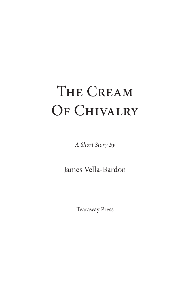# The Cream OF CHIVALRY

*A Short Story By*

James Vella-Bardon

Tearaway Press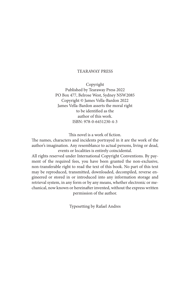#### TEARAWAY PRESS

Copyright Published by Tearaway Press 2022 PO Box 477, Belrose West, Sydney NSW2085 Copyright © James Vella-Bardon 2022 James Vella-Bardon asserts the moral right to be identified as the author of this work. ISBN: 978-0-6451230-4-3

This novel is a work of fiction.

The names, characters and incidents portrayed in it are the work of the author's imagination. Any resemblance to actual persons, living or dead, events or localities is entirely coincidental.

All rights reserved under International Copyright Conventions. By payment of the required fees, you have been granted the non-exclusive, non-transferable right to read the text of this book. No part of this text may be reproduced, transmitted, downloaded, decompiled, reverse engineered or stored in or introduced into any information storage and retrieval system, in any form or by any means, whether electronic or mechanical, now known or hereinafter invented, without the express written permission of the author.

Typesetting by Rafael Andres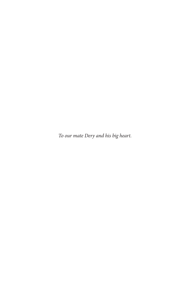*To our mate Dery and his big heart.*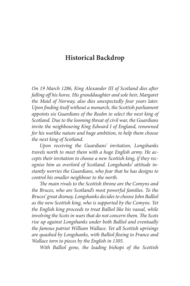## **Historical Backdrop**

*On 19 March 1286, King Alexander III of Scotland dies after falling off his horse. His granddaughter and sole heir, Margaret the Maid of Norway, also dies unexpectedly four years later. Upon finding itself without a monarch, the Scottish parliament appoints six Guardians of the Realm to select the next king of Scotland. Due to the looming threat of civil war, the Guardians invite the neighbouring King Edward I of England, renowned for his warlike nature and huge ambition, to help them choose the next king of Scotland.*

*Upon receiving the Guardians' invitation, Longshanks travels north to meet them with a huge English army. He accepts their invitation to choose a new Scottish king, if they recognise him as overlord of Scotland. Longshanks' attitude instantly worries the Guardians, who fear that he has designs to control his smaller neighbour to the north.*

*The main rivals to the Scottish throne are the Comyns and the Bruces, who are Scotland's most powerful families. To the Bruces' great dismay, Longshanks decides to choose John Balliol as the new Scottish king, who is supported by the Comyns. Yet the English king proceeds to treat Balliol like his vassal, while involving the Scots in wars that do not concern them. The Scots rise up against Longshanks under both Balliol and eventually the famous patriot William Wallace. Yet all Scottish uprisings are quashed by Longshanks, with Balliol fleeing to France and Wallace torn to pieces by the English in 1305.*

*With Balliol gone, the leading bishops of the Scottish*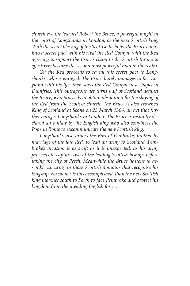*church eye the learned Robert the Bruce, a powerful knight in the court of Longshanks in London, as the next Scottish king. With the secret blessing of the Scottish bishops, the Bruce enters into a secret pact with his rival the Red Comyn, with the Red agreeing to support the Bruce's claim to the Scottish throne to effectively become the second most powerful man in the realm.*

*Yet the Red proceeds to reveal this secret pact to Longshanks, who is enraged. The Bruce barely manages to flee England with his life, then slays the Red Comyn in a chapel in Dumfries. This outrageous act turns half of Scotland against the Bruce, who proceeds to obtain absolution for the slaying of the Red from the Scottish church. The Bruce is also crowned King of Scotland at Scone on 25 March 1306, an act that further enrages Longshanks in London. The Bruce is instantly declared an outlaw by the English king who also convinces the Pope in Rome to excommunicate the new Scottish king.*

*Longshanks also orders the Earl of Pembroke, brother by marriage of the late Red, to lead an army to Scotland. Pembroke's invasion is as swift as it is unexpected, as his army proceeds to capture two of the leading Scottish bishops before taking the city of Perth. Meanwhile the Bruce hastens to assemble an army in those Scottish domains that recognise his kingship. No sooner is this accomplished, than the new Scottish king marches south to Perth to face Pembroke and protect his kingdom from the invading English force…*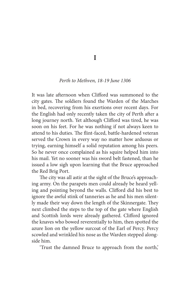**I**

#### *Perth to Methven, 18-19 June 1306*

It was late afternoon when Clifford was summoned to the city gates. The soldiers found the Warden of the Marches in bed, recovering from his exertions over recent days. For the English had only recently taken the city of Perth after a long journey north. Yet although Clifford was tired, he was soon on his feet. For he was nothing if not always keen to attend to his duties. The flint-faced, battle-hardened veteran served the Crown in every way no matter how arduous or trying, earning himself a solid reputation among his peers. So he never once complained as his squire helped him into his mail. Yet no sooner was his sword belt fastened, than he issued a low sigh upon learning that the Bruce approached the Red Brig Port.

The city was all astir at the sight of the Bruce's approaching army. On the parapets men could already be heard yelling and pointing beyond the walls. Clifford did his best to ignore the awful stink of tanneries as he and his men silently made their way down the length of the Skinnergate. They next climbed the steps to the top of the gate where English and Scottish lords were already gathered. Clifford ignored the knaves who bowed reverentially to him, then spotted the azure lion on the yellow surcoat of the Earl of Percy. Percy scowled and wrinkled his nose as the Warden stepped alongside him.

'Trust the damned Bruce to approach from the north,'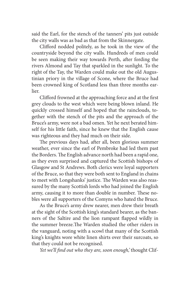said the Earl, for the stench of the tanners' pits just outside the city walls was as bad as that from the Skinnergate.

Clifford nodded politely, as he took in the view of the countryside beyond the city walls. Hundreds of men could be seen making their way towards Perth, after fording the rivers Almond and Tay that sparkled in the sunlight. To the right of the Tay, the Warden could make out the old Augustinian priory in the village of Scone, where the Bruce had been crowned king of Scotland less than three months earlier.

Clifford frowned at the approaching force and at the first grey clouds to the west which were being blown inland. He quickly crossed himself and hoped that the rainclouds, together with the stench of the pits and the approach of the Bruce's army, were not a bad omen. Yet he next berated himself for his little faith, since he knew that the English cause was righteous and they had much on their side.

The previous days had, after all, been glorious summer weather, ever since the earl of Pembroke had led them past the Borders. The English advance north had been a rapid one, as they even surprised and captured the Scottish bishops of Glasgow and St Andrews. Both clerics were loyal supporters of the Bruce, so that they were both sent to England in chains to meet with Longshanks' justice. The Warden was also reassured by the many Scottish lords who had joined the English army, causing it to more than double in number. These nobles were all supporters of the Comyns who hated the Bruce.

As the Bruce's army drew nearer, men drew their breath at the sight of the Scottish king's standard bearer, as the banners of the Saltire and the lion rampant flapped wildly in the summer breeze.The Warden studied the other riders in the vanguard, noting with a scowl that many of the Scottish king's knights wore white linen shirts over their surcoats, so that they could not be recognised.

*Yet we'll find out who they are, soon enough,'* thought Clif-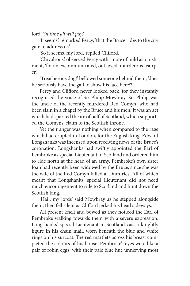ford*, 'in time all will pay.'*

'It seems,' remarked Percy, 'that the Bruce rides to the city gate to address us.'

'So it seems, my lord,' replied Clifford.

'Chivalrous,' observed Percy with a note of mild astonishment, 'for an excommunicated, outlawed, murderous usurper.'

'Treacherous dog!' bellowed someone behind them, 'does he seriously have the gall to show his face here?!'

Percy and Clifford never looked back, for they instantly recognised the voice of Sir Philip Mowbray. Sir Philip was the uncle of the recently murdered Red Comyn, who had been slain in a chapel by the Bruce and his men. It was an act which had sparked the ire of half of Scotland, which supported the Comyns' claim to the Scottish throne.

Yet their anger was nothing when compared to the rage which had erupted in London, for the English king, Edward Longshanks was incensed upon receiving news of the Bruce's coronation. Longshanks had swiftly appointed the Earl of Pembroke as special Lieutenant in Scotland and ordered him to ride north at the head of an army. Pembroke's own sister Joan had recently been widowed by the Bruce, since she was the wife of the Red Comyn killed at Dumfries. All of which meant that Longshanks' special Lieutenant did not need much encouragement to ride to Scotland and hunt down the Scottish king.

'Hail, my lords' said Mowbray as he stepped alongside them, then fell silent as Clifford jerked his head sideways.

All present knelt and bowed as they noticed the Earl of Pembroke walking towards them with a severe expression. Longshanks' special Lieutenant in Scotland cast a knightly figure in his chain mail, worn beneath the blue and white rings on his surcoat. The red martlets across his breast completed the colours of his house. Pembroke's eyes were like a pair of robin eggs, with their pale blue hue unnerving most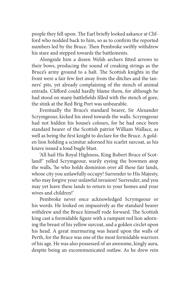people they fell upon. The Earl briefly looked askance at Clifford who nodded back to him, so as to confirm the reported numbers led by the Bruce. Then Pembroke swiftly withdrew his stare and stepped towards the battlements.

Alongside him a dozen Welsh archers fitted arrows to their bows, producing the sound of creaking strings as the Bruce's army ground to a halt. The Scottish knights in the front were a fair few feet away from the ditches and the tanners' pits, yet already complaining of the stench of animal entrails. Clifford could hardly blame them, for although he had stood on many battlefields filled with the stench of gore, the stink at the Red Brig Port was unbearable.

Eventually the Bruce's standard bearer, Sir Alexander Scrymgeour, kicked his steed towards the walls. Scrymgeour had not hidden his house's colours, for he had once been standard bearer of the Scottish patriot William Wallace, as well as being the first knight to declare for the Bruce. A golden lion holding a scimitar adorned his scarlet surcoat, as his knave issued a loud bugle blast.

'All hail His Royal Highness, King Robert Bruce of Scotland!' yelled Scrymgeour, warily eyeing the bowmen atop the walls, 'he who holds dominion over all these fair lands, whose city you unlawfully occupy! Surrender to His Majesty, who may forgive your unlawful invasion! Surrender, and you may yet leave these lands to return to your homes and your wives and children!'

Pembroke never once acknowledged Scrymgeour or his words. He looked on impassively as the standard bearer withdrew and the Bruce himself rode forward. The Scottish king cast a formidable figure with a rampant red lion adorning the breast of his yellow surcoat, and a golden circlet upon his head. A great murmuring was heard upon the walls of Perth, for the Bruce was one of the most formidable warriors of his age. He was also possessed of an awesome, kingly aura, despite being an excommunicated outlaw. As he drew rein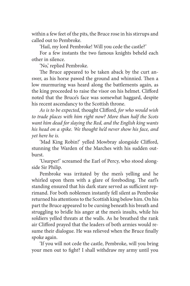within a few feet of the pits, the Bruce rose in his stirrups and called out to Pembroke.

'Hail, my lord Pembroke! Will you cede the castle?'

For a few instants the two famous knights beheld each other in silence.

'No,' replied Pembroke.

The Bruce appeared to be taken aback by the curt answer, as his horse pawed the ground and whinnied. Then a low murmuring was heard along the battlements again, as the king proceeded to raise the visor on his helmet. Clifford noted that the Bruce's face was somewhat haggard, despite his recent ascendancy to the Scottish throne.

*As is to be expected,* thought Clifford, *for who would wish to trade places with him right now? More than half the Scots want him dead for slaying the Red, and the English king wants his head on a spike. We thought he'd never show his face, and yet here he is.*

'Mad King Robin!' yelled Mowbray alongside Clifford, stunning the Warden of the Marches with his sudden outburst.

'Usurper!' screamed the Earl of Percy, who stood alongside Sir Philip.

Pembroke was irritated by the men's yelling and he whirled upon them with a glare of foreboding. The earl's standing ensured that his dark stare served as sufficient reprimand. For both noblemen instantly fell silent as Pembroke returned his attentions to the Scottish king below him. On his part the Bruce appeared to be cursing beneath his breath and struggling to bridle his anger at the men's insults, while his soldiers yelled threats at the walls. As he breathed the rank air Clifford prayed that the leaders of both armies would resume their dialogue. He was relieved when the Bruce finally spoke again.

'If you will not cede the castle, Pembroke, will you bring your men out to fight? I shall withdraw my army until you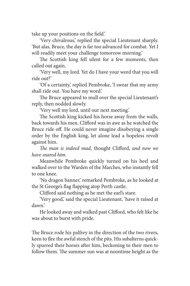take up your positions on the field.'

'Very chivalrous,' replied the special Lieutenant sharply. 'But alas, Bruce, the day is far too advanced for combat. Yet I will readily meet your challenge tomorrow morning.'

The Scottish king fell silent for a few moments, then called out again.

'Very well, my lord. Yet do I have your word that you will ride out?'

'Of a certainty,' replied Pembroke, 'I swear that my army shall ride out. You have my word.'

The Bruce appeared to mull over the special Lieutenant's reply, then nodded slowly.

'Very well my lord, until our next meeting.'

The Scottish king kicked his horse away from the walls, back towards his men. Clifford was in awe as he watched the Bruce ride off. He could never imagine disobeying a single order by the English king, let alone lead a hopeless revolt against him.

*The man is indeed mad,* thought Clifford, *and now we have snared him.*

Meanwhile Pembroke quickly turned on his heel and walked over to the Warden of the Marches, who instantly fell to one knee.

'No dragon banner,' remarked Pembroke, as he looked at the St George's flag flapping atop Perth castle.

Clifford said nothing as he met the earl's stare.

'Very good,' said the special Lieutenant, 'have it raised at dawn.'

He looked away and walked past Clifford, who felt like he was about to burst with pride.

The Bruce rode his palfrey in the direction of the two rivers, keen to flee the awful stench of the pits. His subalterns quickly spurred their horses after him, beckoning to their men to follow them. The summer sun was at noontime height as the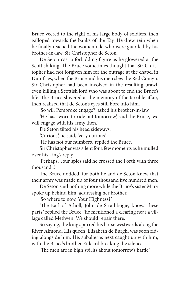Bruce veered to the right of his large body of soldiers, then galloped towards the banks of the Tay. He drew rein when he finally reached the womenfolk, who were guarded by his brother-in-law, Sir Christopher de Seton.

De Seton cast a forbidding figure as he glowered at the Scottish king. The Bruce sometimes thought that Sir Christopher had not forgiven him for the outrage at the chapel in Dumfries, when the Bruce and his men slew the Red Comyn. Sir Christopher had been involved in the resulting brawl, even killing a Scottish lord who was about to end the Bruce's life. The Bruce shivered at the memory of the terrible affair, then realised that de Seton's eyes still bore into him.

'So will Pembroke engage?' asked his brother-in-law.

'He has sworn to ride out tomorrow,' said the Bruce, 'we will engage with his army then.'

De Seton tilted his head sideways.

'Curious,' he said, 'very curious.'

'He has not our numbers,' replied the Bruce.

Sir Christopher was silent for a few moments as he mulled over his king's reply.

'Perhaps…our spies said he crossed the Forth with three thousand...'

The Bruce nodded, for both he and de Seton knew that their army was made up of four thousand five hundred men.

De Seton said nothing more while the Bruce's sister Mary spoke up behind him, addressing her brother.

'So where to now, Your Highness?'

'The Earl of Atholl, John de Strathbogie, knows these parts,' replied the Bruce, 'he mentioned a clearing near a village called Methven. We should repair there.'

So saying, the king spurred his horse westwards along the River Almond. His queen, Elizabeth de Burgh, was soon riding alongside him. His subalterns next caught up with him, with the Bruce's brother Eideard breaking the silence.

'The men are in high spirits about tomorrow's battle.'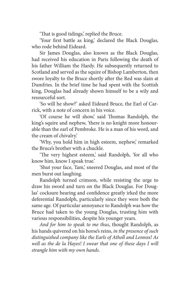'That is good tidings,' replied the Bruce.

'Your first battle as king,' declared the Black Douglas, who rode behind Eideard.

Sir James Douglas, also known as the Black Douglas, had received his education in Paris following the death of his father William the Hardy. He subsequently returned to Scotland and served as the squire of Bishop Lamberton, then swore loyalty to the Bruce shortly after the Red was slain at Dumfries. In the brief time he had spent with the Scottish king, Douglas had already shown himself to be a wily and resourceful sort.

'So will he show?' asked Eideard Bruce, the Earl of Carrick, with a note of concern in his voice.

'Of course he will show,' said Thomas Randolph, the king's squire and nephew, 'there is no knight more honourable than the earl of Pembroke. He is a man of his word, and the cream of chivalry.'

'Why, you hold him in high esteem, nephew,' remarked the Bruce's brother with a chuckle.

'The very highest esteem,' said Randolph, 'for all who know him, know I speak true.'

'Shut your face, Tam,' sneered Douglas, and most of the men burst out laughing.

Randolph turned crimson, while resisting the urge to draw his sword and turn on the Black Douglas. For Douglas' cocksure bearing and confidence greatly irked the more deferential Randolph, particularly since they were both the same age. Of particular annoyance to Randolph was how the Bruce had taken to the young Douglas, trusting him with various responsibilities, despite his younger years.

*And for him to speak to me thus*, thought Randolph, as his hands quivered on his horse's reins, *in the presence of such distinguished company like the Earls of Atholl and Lennox! As well as the de la Hayes! I swear that one of these days I will strangle him with my own hands.*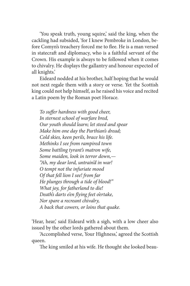'You speak truth, young squire,' said the king, when the cackling had subsided, 'for I knew Pembroke in London, before Comyn's treachery forced me to flee. He is a man versed in statecraft and diplomacy, who is a faithful servant of the Crown. His example is always to be followed when it comes to chivalry. He displays the gallantry and honour expected of all knights.'

Eideard nodded at his brother, half hoping that he would not next regale them with a story or verse. Yet the Scottish king could not help himself, as he raised his voice and recited a Latin poem by the Roman poet Horace.

*To suffer hardness with good cheer, In sternest school of warfare bred, Our youth should learn; let steed and spear Make him one day the Parthian's dread; Cold skies, keen perils, brace his life. Methinks I see from rampired town Some battling tyrant's matron wife, Some maiden, look in terror down,— "Ah, my dear lord, untrain'd in war! O tempt not the infuriate mood Of that fell lion I see! from far He plunges through a tide of blood!" What joy, for fatherland to die! Death's darts e'en flying feet o'ertake, Nor spare a recreant chivalry, A back that cowers, or loins that quake.*

'Hear, hear,' said Eideard with a sigh, with a low cheer also issued by the other lords gathered about them.

'Accomplished verse, Your Highness,' agreed the Scottish queen.

The king smiled at his wife. He thought she looked beau-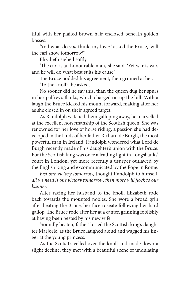tiful with her plaited brown hair enclosed beneath golden bosses.

'And what do *you* think, my love?' asked the Bruce, 'will the earl show tomorrow?'

Elizabeth sighed softly.

'The earl is an honourable man,' she said. 'Yet war is war, and he will do what best suits his cause.'

The Bruce nodded his agreement, then grinned at her.

'To the knoll?' he asked.

No sooner did he say this, than the queen dug her spurs in her palfrey's flanks, which charged on up the hill. With a laugh the Bruce kicked his mount forward, making after her as she closed in on their agreed target.

As Randolph watched them galloping away, he marvelled at the excellent horsemanship of the Scottish queen. She was renowned for her love of horse riding, a passion she had developed in the lands of her father Richard de Burgh, the most powerful man in Ireland. Randolph wondered what Lord de Burgh recently made of his daughter's union with the Bruce. For the Scottish king was once a leading light in Longshanks' court in London, yet more recently a usurper outlawed by the English king and excommunicated by the Pope in Rome.

*Just one victory tomorrow,* thought Randolph to himself, *all we need is one victory tomorrow, then more will flock to our banner.* 

After racing her husband to the knoll, Elizabeth rode back towards the mounted nobles. She wore a broad grin after beating the Bruce, her face roseate following her hard gallop. The Bruce rode after her at a canter, grinning foolishly at having been bested by his new wife.

'Soundly beaten, father!' cried the Scottish king's daughter Marjorie, as the Bruce laughed aloud and wagged his finger at the young princess.

As the Scots travelled over the knoll and made down a slight decline, they met with a beautiful scene of undulating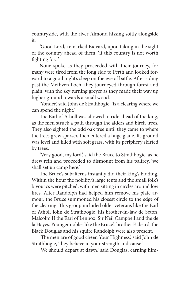countryside, with the river Almond hissing softly alongside it.

'Good Lord,' remarked Eideard, upon taking in the sight of the country ahead of them, 'if this country is not worth fighting for...'

None spoke as they proceeded with their journey, for many were tired from the long ride to Perth and looked forward to a good night's sleep on the eve of battle. After riding past the Methven Loch, they journeyed through forest and plain, with the sky turning greyer as they made their way up higher ground towards a small wood.

'Yonder,' said John de Strathbogie, 'is a clearing where we can spend the night.'

The Earl of Atholl was allowed to ride ahead of the king, as the men struck a path through the alders and birch trees. They also sighted the odd oak tree until they came to where the trees grew sparser, then entered a huge glade. Its ground was level and filled with soft grass, with its periphery skirted by trees.

'Very good, my lord,' said the Bruce to Strathbogie, as he drew rein and proceeded to dismount from his palfrey, 'we shall set up camp here.'

The Bruce's subalterns instantly did their king's bidding. Within the hour the nobility's large tents and the small folk's bivouacs were pitched, with men sitting in circles around low fires. After Randolph had helped him remove his plate armour, the Bruce summoned his closest circle to the edge of the clearing. This group included older veterans like the Earl of Atholl John de Strathbogie, his brother-in-law de Seton, Malcolm II the Earl of Lennox, Sir Neil Campbell and the de la Hayes. Younger nobles like the Bruce's brother Eideard, the Black Douglas and his squire Randolph were also present.

'The men are of good cheer, Your Highness,' said John de Strathbogie, 'they believe in your strength and cause.'

'We should depart at dawn,' said Douglas, earning him-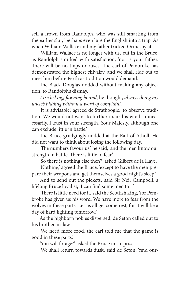self a frown from Randolph, who was still smarting from the earlier slur, 'perhaps even lure the English into a trap. As when William Wallace and my father tricked Ormesby at -'

'William Wallace is no longer with us,' cut in the Bruce, as Randolph smirked with satisfaction, 'nor is your father. There will be no traps or ruses. The earl of Pembroke has demonstrated the highest chivalry, and we shall ride out to meet him before Perth as tradition would demand.'

The Black Douglas nodded without making any objection, to Randolph's dismay.

*Arse licking, fawning hound*, he thought, *always doing my uncle's bidding without a word of complaint.*

'It is advisable,' agreed de Strathbogie, 'to observe tradition. We would not want to further incur his wrath unnecessarily. I trust in your strength, Your Majesty, although one can exclude little in battle.'

The Bruce grudgingly nodded at the Earl of Atholl. He did not want to think about losing the following day.

'The numbers favour us,' he said, 'and the men know our strength in battle. There is little to fear.'

'So there is nothing else then?' asked Gilbert de la Haye.

'Nothing,' agreed the Bruce, 'except to have the men prepare their weapons and get themselves a good night's sleep.'

'And to send out the pickets,' said Sir Neil Campbell, a lifelong Bruce loyalist, 'I can find some men to -.'

'There is little need for it,' said the Scottish king, 'for Pembroke has given us his word. We have more to fear from the wolves in these parts. Let us all get some rest, for it will be a day of hard fighting tomorrow.'

As the highborn nobles dispersed, de Seton called out to his brother-in-law.

'We need more food, the earl told me that the game is good in these parts.'

'You will forage?' asked the Bruce in surprise.

'We shall return towards dusk,' said de Seton, 'find our-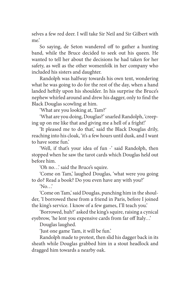selves a few red deer. I will take Sir Neil and Sir Gilbert with me.'

So saying, de Seton wandered off to gather a hunting band, while the Bruce decided to seek out his queen. He wanted to tell her about the decisions he had taken for her safety, as well as the other womenfolk in her company who included his sisters and daughter.

Randolph was halfway towards his own tent, wondering what he was going to do for the rest of the day, when a hand landed heftily upon his shoulder. In his surprise the Bruce's nephew whirled around and drew his dagger, only to find the Black Douglas scowling at him.

'What are you looking at, Tam?'

'What are you doing, Douglas?' snarled Randolph, 'creeping up on me like that and giving me a hell of a fright!'

'It pleased me to do that,' said the Black Douglas drily, reaching into his cloak, 'it's a few hours until dusk, and I want to have some fun.'

'Well, if that's your idea of fun -' said Randolph, then stopped when he saw the tarot cards which Douglas held out before him.

'Oh no…' said the Bruce's squire.

'Come on Tam,' laughed Douglas, 'what were you going to do? Read a book? Do you even have any with you?'

'No…'

'Come on Tam,' said Douglas, punching him in the shoulder, 'I borrowed these from a friend in Paris, before I joined the king's service. I know of a few games, I'll teach you.'

'Borrowed, huh?' asked the king's squire, raising a cynical eyebrow, 'he lent you expensive cards from far off Italy…'

Douglas laughed.

'Just one game Tam, it will be fun.'

Randolph made to protest, then slid his dagger back in its sheath while Douglas grabbed him in a stout headlock and dragged him towards a nearby oak.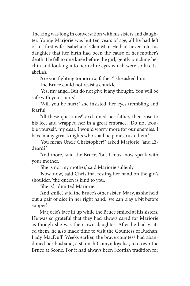The king was long in conversation with his sisters and daughter. Young Marjorie was but ten years of age, all he had left of his first wife, Isabella of Clan Mar. He had never told his daughter that her birth had been the cause of her mother's death. He fell to one knee before the girl, gently pinching her chin and looking into her ochre eyes which were so like Isabella's.

'Are you fighting tomorrow, father?' she asked him.

The Bruce could not resist a chuckle.

'Yes, my angel. But do not give it any thought. You will be safe with your aunts.'

'Will you be hurt?' she insisted, her eyes trembling and fearful.

'All these questions!' exclaimed her father, then rose to his feet and wrapped her in a great embrace. 'Do not trouble yourself, my dear. I would worry more for our enemies. I have many great knights who shall help me crush them.'

'You mean Uncle Christopher?' asked Marjorie, 'and Eideard?'

'And more,' said the Bruce, 'but I must now speak with your mother.'

'She is not my mother,' said Marjorie sullenly.

'Now, now,' said Christina, resting her hand on the girl's shoulder, 'the queen is kind to you.'

'She is,' admitted Marjorie.

'And smile,' said the Bruce's other sister, Mary, as she held out a pair of dice in her right hand, 'we can play a bit before supper.'

Marjorie's face lit up while the Bruce smiled at his sisters. He was so grateful that they had always cared for Marjorie as though she was their own daughter. After he had visited them, he also made time to visit the Countess of Buchan, Lady MacDuff. Weeks earlier, the brave countess had abandoned her husband, a staunch Comyn loyalist, to crown the Bruce at Scone. For it had always been Scottish tradition for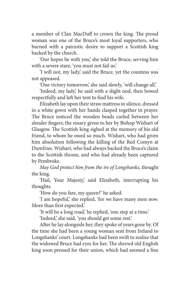a member of Clan MacDuff to crown the king. The proud woman was one of the Bruce's most loyal supporters, who burned with a patriotic desire to support a Scottish king backed by the church.

'Our hopes lie with you,' she told the Bruce, serving him with a severe stare, 'you must not fail us.'

'I will not, my lady,' said the Bruce, yet the countess was not appeased.

'One victory tomorrow,' she said slowly, 'will change all.'

'Indeed, my lady,' he said with a slight nod, then bowed respectfully and left her tent to find his wife.

Elizabeth lay upon their straw mattress in silence, dressed in a white gown with her hands clasped together in prayer. The Bruce noticed the wooden beads curled between her slender fingers; the rosary given to her by Bishop Wishart of Glasgow. The Scottish king sighed at the memory of his old friend, to whom he owed so much. Wishart, who had given him absolution following the killing of the Red Comyn at Dumfries. Wishart, who had always backed the Bruce's claim to the Scottish throne, and who had already been captured by Pembroke.

*May God protect him from the ire of Longshanks*, thought the king.

'Hail, Your Majesty,' said Elizabeth, interrupting his thoughts.

'How do you fare, my queen?' he asked.

'I am hopeful,' she replied, 'for we have many men now. More than first expected.'

'It will be a long road,' he replied, 'one step at a time.'

'Indeed,' she said, 'you should get some rest.'

After he lay alongside her, they spoke of years gone by. Of the time she had been a young woman sent from Ireland to Longshanks' court. Longshanks had been swift to realise that the widowed Bruce had eyes for her. The shrewd old English king soon pressed for their union, which had seemed a fine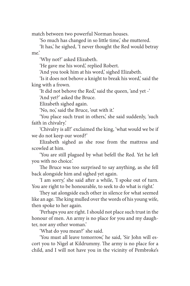match between two powerful Norman houses.

'So much has changed in so little time,' she muttered.

'It has,' he sighed, 'I never thought the Red would betray me.'

'Why not?' asked Elizabeth.

'He gave me his word,' replied Robert.

'And you took him at his word,' sighed Elizabeth.

'Is it does not behove a knight to break his word,' said the king with a frown.

'It did not behove the Red,' said the queen, 'and yet -'

'And yet?' asked the Bruce.

Elizabeth sighed again.

'No, no,' said the Bruce, 'out with it.'

'You place such trust in others,' she said suddenly, 'such faith in chivalry.'

'Chivalry is all!' exclaimed the king, 'what would we be if we do not keep our word?'

Elizabeth sighed as she rose from the mattress and scowled at him.

'You are still plagued by what befell the Red. Yet he left you with no choice.'

The Bruce was too surprised to say anything, as she fell back alongside him and sighed yet again.

'I am sorry,' she said after a while, 'I spoke out of turn. You are right to be honourable, to seek to do what is right.'

They sat alongside each other in silence for what seemed like an age. The king mulled over the words of his young wife, then spoke to her again.

'Perhaps you are right. I should not place such trust in the honour of men. An army is no place for you and my daughter, nor any other woman.'

'What do you mean?' she said.

'You must all leave tomorrow,' he said, 'Sir John will escort you to Nigel at Kildrummy. The army is no place for a child, and I will not have you in the vicinity of Pembroke's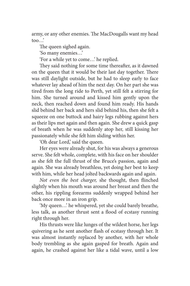army, or any other enemies. The MacDougalls want my head too…'

The queen sighed again.

'So many enemies…'

'For a while yet to come…' he replied.

They said nothing for some time thereafter, as it dawned on the queen that it would be their last day together. There was still daylight outside, but he had to sleep early to face whatever lay ahead of him the next day. On her part she was tired from the long ride to Perth, yet still felt a stirring for him. She turned around and kissed him gently upon the neck, then reached down and found him ready. His hands slid behind her back and hers slid behind his, then she felt a squeeze on one buttock and hairy legs rubbing against hers as their lips met again and then again. She drew a quick gasp of breath when he was suddenly atop her, still kissing her passionately while she felt him sliding within her.

'Oh dear Lord,' said the queen.

Her eyes were already shut, for his was always a generous serve. She felt whole, complete, with his face on her shoulder as she felt the full thrust of the Bruce's passion, again and again. She was already breathless, yet doing her best to keep with him, while her head jolted backwards again and again.

*Not even the best charger,* she thought, then flinched slightly when his mouth was around her breast and then the other, his rippling forearms suddenly wrapped behind her back once more in an iron grip.

'My queen…' he whispered, yet she could barely breathe, less talk, as another thrust sent a flood of ecstasy running right through her.

His thrusts were like lunges of the wildest horse, her legs quivering as he sent another flash of ecstasy through her. It was almost instantly replaced by another, with her whole body trembling as she again gasped for breath. Again and again, he crashed against her like a tidal wave, until a low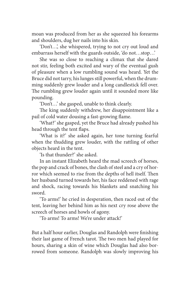moan was produced from her as she squeezed his forearms and shoulders, dug her nails into his skin.

'Don't…', she whispered, trying to not cry out loud and embarrass herself with the guards outside, 'do not…stop…'

She was so close to reaching a climax that she dared not stir, feeling both excited and wary of the eventual gush of pleasure when a low rumbling sound was heard. Yet the Bruce did not tarry, his lunges still powerful, when the drumming suddenly grew louder and a long candlestick fell over. The rumbling grew louder again until it sounded more like pounding.

'Don't…' she gasped, unable to think clearly.

The king suddenly withdrew, her disappointment like a pail of cold water dousing a fast-growing flame.

'What?' she gasped, yet the Bruce had already pushed his head through the tent flaps.

'What is it?' she asked again, her tone turning fearful when the thudding grew louder, with the rattling of other objects heard in the tent.

'Is that thunder?' she asked.

In an instant Elizabeth heard the mad screech of horses, the pop and crack of bones, the clash of steel and a cry of horror which seemed to rise from the depths of hell itself. Then her husband turned towards her, his face reddened with rage and shock, racing towards his blankets and snatching his sword.

'To arms!' he cried in desperation, then raced out of the tent, leaving her behind him as his next cry rose above the screech of horses and howls of agony.

'To arms! To arms! We're under attack!'

But a half hour earlier, Douglas and Randolph were finishing their last game of French tarot. The two men had played for hours, sharing a skin of wine which Douglas had also borrowed from someone. Randolph was slowly improving his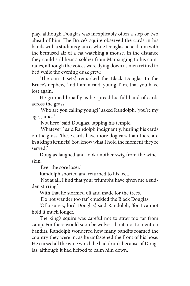play, although Douglas was inexplicably often a step or two ahead of him. The Bruce's squire observed the cards in his hands with a studious glance, while Douglas beheld him with the bemused air of a cat watching a mouse. In the distance they could still hear a soldier from Mar singing to his comrades, although the voices were dying down as men retired to bed while the evening dusk grew.

'The sun it sets,' remarked the Black Douglas to the Bruce's nephew, 'and I am afraid, young Tam, that you have lost again.'

He grinned broadly as he spread his full hand of cards across the grass.

'Who are you calling young?' asked Randolph, 'you're my age, James.'

'Not here,' said Douglas, tapping his temple.

'Whatever!' said Randolph indignantly, hurling his cards on the grass, 'these cards have more dog ears than there are in a king's kennels! You know what I hold the moment they're served!'

Douglas laughed and took another swig from the wineskin.

'Ever the sore loser.'

Randolph snorted and returned to his feet.

'Not at all, I find that your triumphs have given me a sudden stirring.'

With that he stormed off and made for the trees.

'Do not wander too far,' chuckled the Black Douglas.

'Of a surety, lord Douglas,' said Randolph, 'for I cannot hold it much longer.'

The king's squire was careful not to stray too far from camp. For there would soon be wolves about, not to mention bandits. Randolph wondered how many bandits roamed the country they were in, as he unfastened the front of his hose. He cursed all the wine which he had drunk because of Douglas, although it had helped to calm him down.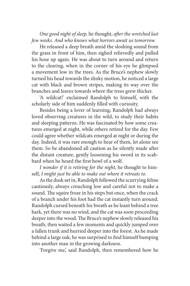*One good night of sleep,* he thought, *after the wretched last few weeks. And who knows what horrors await us tomorrow.*

He released a deep breath amid the sloshing sound from the grass in front of him, then sighed relievedly and pulled his hose up again. He was about to turn around and return to the clearing, when in the corner of his eye he glimpsed a movement low in the trees. As the Bruce's nephew slowly turned his head towards the slinky motion, he noticed a large cat with black and brown stripes, making its way over the branches and leaves towards where the trees grew thicker.

'A wildcat!' exclaimed Randolph to himself, with the scholarly side of him suddenly filled with curiosity.

Besides being a lover of learning, Randolph had always loved observing creatures in the wild, to study their habits and sleeping patterns. He was fascinated by how some creatures emerged at night, while others retired for the day. Few could agree whether wildcats emerged at night or during the day. Indeed, it was rare enough to hear of them, let alone see them. So he abandoned all caution as he silently made after the distant creature, gently loosening his sword in its scabbard when he heard the first howl of a wolf.

*I wonder if it is retiring for the night,* he thought to himself, *I might just be able to make out where it retreats to.*

As the dusk set in, Randolph followed the scurrying feline cautiously, always crouching low and careful not to make a sound. The squire froze in his steps but once, when the crack of a branch under his foot had the cat instantly turn around. Randolph cursed beneath his breath as he leant behind a tree bark, yet there was no wind, and the cat was soon proceeding deeper into the wood. The Bruce's nephew slowly released his breath, then waited a few moments and quickly jumped over a fallen trunk and hurried deeper into the forest. As he made behind a large oak, he was surprised to find himself bumping into another man in the growing darkness.

'Forgive me,' said Randolph, then remembered how he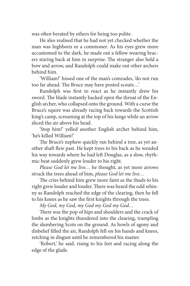was often berated by others for being too polite.

He also realised that he had not yet checked whether the man was highborn or a commoner. As his eyes grew more accustomed to the dark, he made out a fellow wearing bracers staring back at him in surprise. The stranger also held a bow and arrow, and Randolph could make out other archers behind him.

'William!' hissed one of the man's comrades, 'do not run too far ahead. The Bruce may have posted scouts…'

Randolph was first to react as he instantly drew his sword. The blade instantly hacked open the throat of the English archer, who collapsed onto the ground. With a curse the Bruce's squire was already racing back towards the Scottish king's camp, screaming at the top of his lungs while an arrow sliced the air above his head.

'Stop him!' yelled another English archer behind him, 'he's killed William!'

The Bruce's nephew quickly ran behind a tree, as yet another shaft flew past. He kept trees to his back as he wended his way towards where he had left Douglas, as a slow, rhythmic beat suddenly grew louder to his right.

*Please God let me live…* he thought, as yet more arrows struck the trees ahead of him, *please God let me live…*

The cries behind him grew more faint as the thuds to his right grew louder and louder. There was heard the odd whinny as Randolph reached the edge of the clearing, then he fell to his knees as he saw the first knights through the trees.

*My God, my God, my God my God my God…*

There was the pop of hips and shoulders and the crack of limbs as the knights thundered into the clearing, trampling the slumbering Scots on the ground. As howls of agony and disbelief filled the air, Randolph fell on his hands and knees, retching in disgust until he remembered his master.

'Robert,' he said, rising to his feet and racing along the edge of the glade.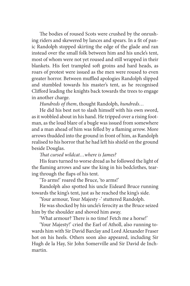The bodies of roused Scots were crushed by the onrushing riders and skewered by lances and spears. In a fit of panic Randolph stopped skirting the edge of the glade and ran instead over the small folk between him and his uncle's tent, most of whom were not yet roused and still wrapped in their blankets. His feet trampled soft groins and hard heads, as roars of protest were issued as the men were roused to even greater horror. Between muffled apologies Randolph slipped and stumbled towards his master's tent, as he recognised Clifford leading the knights back towards the trees to engage in another charge.

*Hundreds of them*, thought Randolph, *hundreds…*

He did his best not to slash himself with his own sword, as it wobbled about in his hand. He tripped over a rising footman, as the loud blare of a bugle was issued from somewhere and a man ahead of him was felled by a flaming arrow. More arrows thudded into the ground in front of him, as Randolph realised to his horror that he had left his shield on the ground beside Douglas.

*That cursed wildcat…where is James?*

His fears turned to worse dread as he followed the light of the flaming arrows and saw the king in his bedclothes, tearing through the flaps of his tent.

'To arms!' roared the Bruce, 'to arms!'

Randolph also spotted his uncle Eideard Bruce running towards the king's tent, just as he reached the king's side.

'Your armour, Your Majesty -' stuttered Randolph.

He was shocked by his uncle's ferocity as the Bruce seized him by the shoulder and shoved him away.

'What armour? There is no time! Fetch me a horse!'

'Your Majesty!' cried the Earl of Atholl, also running towards him with Sir David Barclay and Lord Alexander Fraser hot on his heels. Others soon also appeared, including Sir Hugh de la Hay, Sir John Somerville and Sir David de Inchmartin.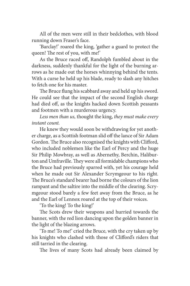All of the men were still in their bedclothes, with blood running down Fraser's face.

'Barclay!' roared the king, 'gather a guard to protect the queen! The rest of you, with me!'

As the Bruce raced off, Randolph fumbled about in the darkness, suddenly thankful for the light of the burning arrows as he made out the horses whinnying behind the tents. With a curse he held up his blade, ready to slash any hitches to fetch one for his master.

The Bruce flung his scabbard away and held up his sword. He could see that the impact of the second English charge had died off, as the knights hacked down Scottish peasants and footmen with a murderous urgency.

*Less men than us,* thought the king, *they must make every instant count.*

He knew they would soon be withdrawing for yet another charge, as a Scottish footman slid off the lance of Sir Adam Gordon. The Bruce also recognised the knights with Clifford, who included noblemen like the Earl of Percy and the huge Sir Philip Mowbray, as well as Abernethy, Berchin, Haliburton and Umfraville. They were all formidable champions who the Bruce had previously sparred with, yet his courage held when he made out Sir Alexander Scrymgeour to his right. The Bruce's standard bearer had borne the colours of the lion rampant and the saltire into the middle of the clearing. Scrymgeour stood barely a few feet away from the Bruce, as he and the Earl of Lennox roared at the top of their voices.

'To the king! To the king!'

The Scots drew their weapons and hurried towards the banner, with the red lion dancing upon the golden banner in the light of the blazing arrows.

'To me! To me!' cried the Bruce, with the cry taken up by his knights who clashed with those of Clifford's riders that still tarried in the clearing.

The lives of many Scots had already been claimed by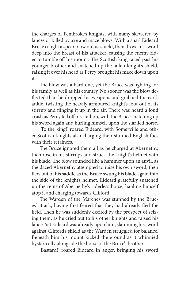the charges of Pembroke's knights, with many skewered by lances or killed by axe and mace blows. With a snarl Eideard Bruce caught a spear blow on his shield, then drove his sword deep into the breast of his attacker, causing the enemy rider to tumble off his mount. The Scottish king raced past his younger brother and snatched up the fallen knight's shield, raising it over his head as Percy brought his mace down upon it.

The blow was a hard one, yet the Bruce was fighting for his family as well as his country. No sooner was the blow deflected than he dropped his weapons and grabbed the earl's ankle, twisting the heavily armoured knight's foot out of its stirrup and flinging it up in the air. There was heard a loud crash as Percy fell off his stallion, with the Bruce snatching up his sword again and hurling himself upon the startled horse.

'To the king!' roared Eideard, with Somerville and other Scottish knights also charging their stunned English foes with their retainers.

The Bruce ignored them all as he charged at Abernethy, then rose in his stirrups and struck the knight's helmet with his blade. The blow sounded like a hammer upon an anvil, as the dazed Abernethy attempted to raise his own sword, then flew out of his saddle as the Bruce swung his blade again into the side of the knight's helmet. Eideard gratefully snatched up the reins of Abernethy's riderless horse, hauling himself atop it and charging towards Clifford.

The Warden of the Marches was stunned by the Bruces' attack, having first feared that they had already fled the field. Then he was suddenly excited by the prospect of seizing them, as he cried out to his other knights and raised his lance. Yet Eideard was already upon him, slamming his sword against Clifford's shield as the Warden struggled for balance. Beneath him his mount kicked the ground as it whinnied hysterically alongside the horse of the Bruce's brother.

'Bastard!' roared Eideard in anger, bringing his sword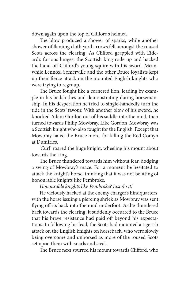down again upon the top of Clifford's helmet.

The blow produced a shower of sparks, while another shower of flaming cloth yard arrows fell amongst the roused Scots across the clearing. As Clifford grappled with Eideard's furious lunges, the Scottish king rode up and hacked the hand off Clifford's young squire with his sword. Meanwhile Lennox, Somerville and the other Bruce loyalists kept up their fierce attack on the mounted English knights who were trying to regroup.

The Bruce fought like a cornered lion, leading by example in his bedclothes and demonstrating daring horsemanship. In his desperation he tried to single-handedly turn the tide in the Scots' favour. With another blow of his sword, he knocked Adam Gordon out of his saddle into the mud, then turned towards Philip Mowbray. Like Gordon, Mowbray was a Scottish knight who also fought for the English. Except that Mowbray hated the Bruce more, for killing the Red Comyn at Dumfries.

'Cur!' roared the huge knight, wheeling his mount about towards the king.

The Bruce thundered towards him without fear, dodging a swing of Mowbray's mace. For a moment he hesitated to attack the knight's horse, thinking that it was not befitting of honourable knights like Pembroke.

### *Honourable knights like Pembroke? Just do it!*

He viciously hacked at the enemy charger's hindquarters, with the horse issuing a piercing shriek as Mowbray was sent flying off its back into the mud underfoot. As he thundered back towards the clearing, it suddenly occurred to the Bruce that his brave resistance had paid off beyond his expectations. In following his lead, the Scots had mounted a tigerish attack on the English knights on horseback, who were slowly being overcome and unhorsed as more of the roused Scots set upon them with snarls and steel.

The Bruce next spurred his mount towards Clifford, who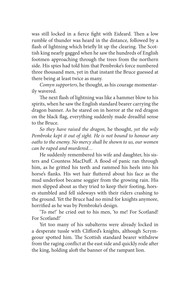was still locked in a fierce fight with Eideard. Then a low rumble of thunder was heard in the distance, followed by a flash of lightning which briefly lit up the clearing. The Scottish king nearly gagged when he saw the hundreds of English footmen approaching through the trees from the northern side. His spies had told him that Pembroke's force numbered three thousand men, yet in that instant the Bruce guessed at there being at least twice as many.

*Comyn supporters*, he thought, as his courage momentarily wavered.

The next flash of lightning was like a hammer blow to his spirits, when he saw the English standard bearer carrying the dragon banner. As he stared on in horror at the red dragon on the black flag, everything suddenly made dreadful sense to the Bruce.

*So they have raised the dragon,* he thought, *yet the wily Pembroke kept it out of sight. He is not bound to honour any oaths to the enemy. No mercy shall be shown to us, our women can be raped and murdered…*

He suddenly remembered his wife and daughter, his sisters and Countess MacDuff. A flood of panic ran through him, as he gritted his teeth and rammed his heels into his horse's flanks. His wet hair fluttered about his face as the mud underfoot became soggier from the growing rain. His men slipped about as they tried to keep their footing, horses stumbled and fell sideways with their riders crashing to the ground. Yet the Bruce had no mind for knights anymore, horrified as he was by Pembroke's design.

'To me!' he cried out to his men, 'to me! For Scotland! For Scotland!'

Yet too many of his subalterns were already locked in a desperate tussle with Clifford's knights, although Scrymgeour spotted him. The Scottish standard bearer withdrew from the raging conflict at the east side and quickly rode after the king, holding aloft the banner of the rampant lion.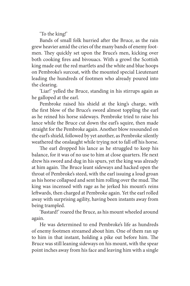'To the king!'

Bands of small folk hurried after the Bruce, as the rain grew heavier amid the cries of the many bands of enemy footmen. They quickly set upon the Bruce's men, kicking over both cooking fires and bivouacs. With a growl the Scottish king made out the red martlets and the white and blue hoops on Pembroke's surcoat, with the mounted special Lieutenant leading the hundreds of footmen who already poured into the clearing.

'Liar!' yelled the Bruce, standing in his stirrups again as he galloped at the earl.

Pembroke raised his shield at the king's charge, with the first blow of the Bruce's sword almost toppling the earl as he reined his horse sideways. Pembroke tried to raise his lance while the Bruce cut down the earl's squire, then made straight for the Pembroke again. Another blow resounded on the earl's shield, followed by yet another, as Pembroke silently weathered the onslaught while trying not to fall off his horse.

The earl dropped his lance as he struggled to keep his balance, for it was of no use to him at close quarters. He next drew his sword and dug in his spurs, yet the king was already at him again. The Bruce leant sideways and hacked open the throat of Pembroke's steed, with the earl issuing a loud groan as his horse collapsed and sent him rolling over the mud. The king was incensed with rage as he jerked his mount's reins leftwards, then charged at Pembroke again. Yet the earl rolled away with surprising agility, having been instants away from being trampled.

'Bastard!' roared the Bruce, as his mount wheeled around again.

He was determined to end Pembroke's life as hundreds of enemy footmen streamed about him. One of them ran up to him in that instant, holding a pike out before him. The Bruce was still leaning sideways on his mount, with the spear point inches away from his face and leaving him with a single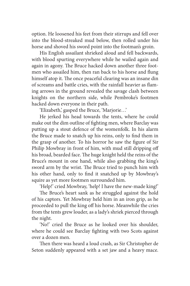option. He loosened his feet from their stirrups and fell over into the blood-streaked mud below, then rolled under his horse and shoved his sword point into the footman's groin.

His English assailant shrieked aloud and fell backwards, with blood spurting everywhere while he wailed again and again in agony. The Bruce hacked down another three footmen who assailed him, then ran back to his horse and flung himself atop it. The once peaceful clearing was an insane din of screams and battle cries, with the rainfall heavier as flaming arrows in the ground revealed the savage clash between knights on the northern side, while Pembroke's footmen hacked down everyone in their path.

'Elizabeth,' gasped the Bruce, 'Marjorie…'

He jerked his head towards the tents, where he could make out the dim outline of fighting men, where Barclay was putting up a stout defence of the womenfolk. In his alarm the Bruce made to snatch up his reins, only to find them in the grasp of another. To his horror he saw the figure of Sir Philip Mowbray in front of him, with mud still dripping off his broad, bearded face. The huge knight held the reins of the Bruce's mount in one hand, while also grabbing the king's sword arm by the wrist. The Bruce tried to punch him with his other hand, only to find it snatched up by Mowbray's squire as yet more footmen surrounded him.

'Help!' cried Mowbray, 'help! I have the new-made king!'

The Bruce's heart sank as he struggled against the hold of his captors. Yet Mowbray held him in an iron grip, as he proceeded to pull the king off his horse. Meanwhile the cries from the tents grew louder, as a lady's shriek pierced through the night.

'No!' cried the Bruce as he looked over his shoulder, where he could see Barclay fighting with two Scots against over a dozen men.

Then there was heard a loud crash, as Sir Christopher de Seton suddenly appeared with a set jaw and a heavy mace.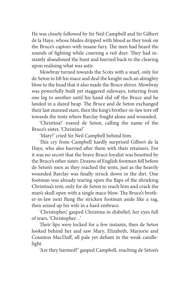He was closely followed by Sir Neil Campbell and Sir Gilbert de la Haye, whose blades dripped with blood as they took on the Bruce's captors with insane fury. The men had heard the sounds of fighting while coursing a red deer. They had instantly abandoned the hunt and hurried back to the clearing upon realising what was astir.

Mowbray turned towards the Scots with a snarl, only for de Seton to lift his mace and deal the knight such an almighty blow to the head that it also made the Bruce shiver. Mowbray was powerfully built yet staggered sideways, tottering from one leg to another until his hand slid off the Bruce and he landed in a dazed heap. The Bruce and de Seton exchanged their last stunned stare, then the king's brother-in-law tore off towards the tents where Barclay fought alone and wounded.

'Christina!' roared de Seton, calling the name of the Bruce's sister, 'Christina!'

'Mary!' cried Sir Neil Campbell behind him.

This cry from Campbell hardly surprised Gilbert de la Haye, who also hurried after them with their retainers. For it was no secret that the brave Bruce loyalist was besotted by the Bruce's other sister. Dozens of English footmen fell before de Seton's men as they reached the tents, just as the heavily wounded Barclay was finally struck down in the dirt. One footman was already tearing open the flaps of the shrieking Christina's tent, only for de Seton to reach him and crack the man's skull open with a single mace blow. The Bruce's brother-in-law next flung the stricken footman aside like a rag, then seized up his wife in a hard embrace.

'Christopher,' gasped Christina in disbelief, her eyes full of tears, 'Christopher…'

Their lips were locked for a few instants, then de Seton looked behind her and saw Mary, Elizabeth, Marjorie and Countess MacDuff, all pale yet defiant in the weak candlelight.

'Are they harmed?' gasped Campbell, reaching de Seton's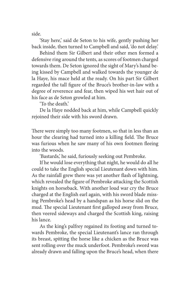side.

'Stay here,' said de Seton to his wife, gently pushing her back inside, then turned to Campbell and said, 'do not delay.'

Behind them Sir Gilbert and their other men formed a defensive ring around the tents, as scores of footmen charged towards them. De Seton ignored the sight of Mary's hand being kissed by Campbell and walked towards the younger de la Haye, his mace held at the ready. On his part Sir Gilbert regarded the tall figure of the Bruce's brother-in-law with a degree of reverence and fear, then wiped his wet hair out of his face as de Seton growled at him.

'To the death.'

De la Haye nodded back at him, while Campbell quickly rejoined their side with his sword drawn.

There were simply too many footmen, so that in less than an hour the clearing had turned into a killing field. The Bruce was furious when he saw many of his own footmen fleeing into the woods.

'Bastards,' he said, furiously seeking out Pembroke.

If he would lose everything that night, he would do all he could to take the English special Lieutenant down with him. As the rainfall grew there was yet another flash of lightning, which revealed the figure of Pembroke attacking the Scottish knights on horseback. With another loud war cry the Bruce charged at the English earl again, with his sword blade missing Pembroke's head by a handspan as his horse slid on the mud. The special Lieutenant first galloped away from Bruce, then veered sideways and charged the Scottish king, raising his lance.

As the king's palfrey regained its footing and turned towards Pembroke, the special Lieutenant's lance ran through its breast, spitting the horse like a chicken as the Bruce was sent rolling over the muck underfoot. Pembroke's sword was already drawn and falling upon the Bruce's head, when there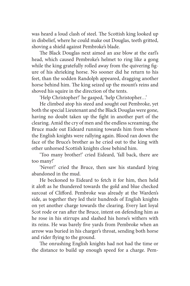was heard a loud clash of steel. The Scottish king looked up in disbelief, where he could make out Douglas, teeth gritted, shoving a shield against Pembroke's blade.

The Black Douglas next aimed an axe blow at the earl's head, which caused Pembroke's helmet to ring like a gong while the king gratefully rolled away from the quivering figure of his shrieking horse. No sooner did he return to his feet, than the sodden Randolph appeared, dragging another horse behind him. The king seized up the mount's reins and shoved his squire in the direction of the tents.

'Help Christopher!' he gasped, 'help Christopher…'

He climbed atop his steed and sought out Pembroke, yet both the special Lieutenant and the Black Douglas were gone, having no doubt taken up the fight in another part of the clearing. Amid the cry of men and the endless screaming, the Bruce made out Eideard running towards him from where the English knights were rallying again. Blood ran down the face of the Bruce's brother as he cried out to the king with other unhorsed Scottish knights close behind him.

'Too many brother!' cried Eideard, 'fall back, there are too many!'

'Never!' cried the Bruce, then saw his standard lying abandoned in the mud.

He beckoned to Eideard to fetch it for him, then held it aloft as he thundered towards the gold and blue checked surcoat of Clifford. Pembroke was already at the Warden's side, as together they led their hundreds of English knights on yet another charge towards the clearing. Every last loyal Scot rode or ran after the Bruce, intent on defending him as he rose in his stirrups and slashed his horse's withers with its reins. He was barely five yards from Pembroke when an arrow was buried in his charger's throat, sending both horse and rider flying to the ground.

The onrushing English knights had not had the time or the distance to build up enough speed for a charge. Pem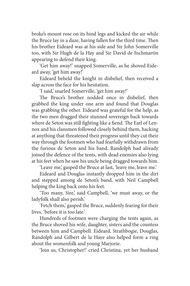broke's mount rose on its hind legs and kicked the air while the Bruce lay in a daze, having fallen for the third time. Then his brother Eideard was at his side and Sir John Somerville too, with Sir Hugh de la Hay and Sir David de Inchmartin appearing to defend their king.

'Get him away!' snapped Somerville, as he shoved Eideard away, 'get him away!'

Eideard beheld the knight in disbelief, then received a slap across the face for his hesitation.

'I said,' snarled Somerville, 'get him away!'

The Bruce's brother nodded once in disbelief, then grabbed the king under one arm and found that Douglas was grabbing the other. Eideard was grateful for the help, as the two men dragged their stunned sovereign back towards where de Seton was still fighting like a fiend. The Earl of Lennox and his clansmen followed closely behind them, hacking at anything that threatened their progress until they cut their way through the footmen who had fearfully withdrawn from the furious de Seton and his band. Randolph had already joined the defence of the tents, with dead enemies also lying at his feet when he saw his uncle being dragged towards him.

'Leave me,' gasped the Bruce at last, 'leave me, leave me.'

Eideard and Douglas instantly dropped him in the dirt and stepped among de Seton's band, with Neil Campbell helping the king back onto his feet.

'Too many, Sire,' said Campbell, 'we must away, or the ladyfolk shall also perish.'

'Fetch them,' gasped the Bruce, suddenly fearing for their lives, 'before it is too late.'

Hundreds of footmen were charging the tents again, as the Bruce shoved his wife, daughter, sisters and the countess between him and Campbell. Eideard, Strathbogie, Douglas, Randolph and Gilbert de la Haye also helped form a ring about the womenfolk and young Marjorie.

'Join us, Christopher!' cried Christina, yet her husband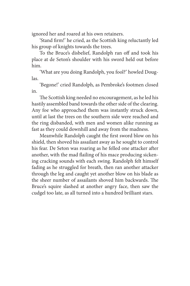ignored her and roared at his own retainers.

'Stand firm!' he cried, as the Scottish king reluctantly led his group of knights towards the trees.

To the Bruce's disbelief, Randolph ran off and took his place at de Seton's shoulder with his sword held out before him.

'What are you doing Randolph, you fool?' howled Douglas.

'Begone!' cried Randolph, as Pembroke's footmen closed in.

The Scottish king needed no encouragement, as he led his hastily assembled band towards the other side of the clearing. Any foe who approached them was instantly struck down, until at last the trees on the southern side were reached and the ring disbanded, with men and women alike running as fast as they could downhill and away from the madness.

Meanwhile Randolph caught the first sword blow on his shield, then shoved his assailant away as he sought to control his fear. De Seton was roaring as he felled one attacker after another, with the mad flailing of his mace producing sickening cracking sounds with each swing. Randolph felt himself fading as he struggled for breath, then ran another attacker through the leg and caught yet another blow on his blade as the sheer number of assailants shoved him backwards. The Bruce's squire slashed at another angry face, then saw the cudgel too late, as all turned into a hundred brilliant stars.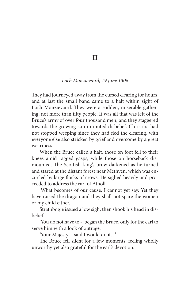**II**

#### *Loch Monzievaird, 19 June 1306*

They had journeyed away from the cursed clearing for hours, and at last the small band came to a halt within sight of Loch Monzievaird. They were a sodden, miserable gathering, not more than fifty people. It was all that was left of the Bruce's army of over four thousand men, and they staggered towards the growing sun in muted disbelief. Christina had not stopped weeping since they had fled the clearing, with everyone else also stricken by grief and overcome by a great weariness.

When the Bruce called a halt, those on foot fell to their knees amid ragged gasps, while those on horseback dismounted. The Scottish king's brow darkened as he turned and stared at the distant forest near Methven, which was encircled by large flocks of crows. He sighed heavily and proceeded to address the earl of Atholl.

'What becomes of our cause, I cannot yet say. Yet they have raised the dragon and they shall not spare the women or my child either.'

Strathbogie issued a low sigh, then shook his head in disbelief.

'You do not have to -' began the Bruce, only for the earl to serve him with a look of outrage.

'Your Majesty! I said I would do it…'

The Bruce fell silent for a few moments, feeling wholly unworthy yet also grateful for the earl's devotion.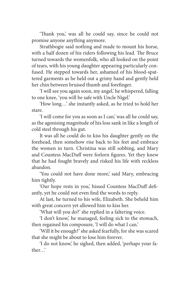'Thank you,' was all he could say, since he could not promise anyone anything anymore.

Strathbogie said nothing and made to mount his horse, with a half dozen of his riders following his lead. The Bruce turned towards the womenfolk, who all looked on the point of tears, with his young daughter appearing particularly confused. He stepped towards her, ashamed of his blood-spattered garments as he held out a grimy hand and gently held her chin between bruised thumb and forefinger.

'I will see you again soon, my angel,' he whispered, falling to one knee, 'you will be safe with Uncle Nigel.'

'How long…' she instantly asked, as he tried to hold her stare.

'I will come for you as soon as I can,' was all he could say, as the agonising magnitude of his loss sank in like a length of cold steel through his gut.

It was all he could do to kiss his daughter gently on the forehead, then somehow rise back to his feet and embrace the women in turn. Christina was still sobbing, and Mary and Countess MacDuff were forlorn figures. Yet they knew that he had fought bravely and risked his life with reckless abandon.

'You could not have done more,' said Mary, embracing him tightly.

'Our hope rests in you,' hissed Countess MacDuff defiantly, yet he could not even find the words to reply.

At last, he turned to his wife, Elizabeth. She beheld him with great concern yet allowed him to kiss her.

'What will you do?' she replied in a faltering voice.

'I don't know,' he managed, feeling sick to the stomach, then regained his composure, 'I will do what I can.'

'Will it be enough?' she asked fearfully, for she was scared that she might be about to lose him forever.

'I do not know,' he sighed, then added, 'perhaps your father…'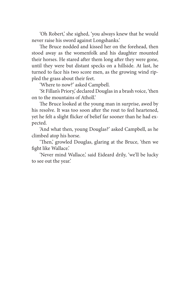'Oh Robert,' she sighed, 'you always knew that he would never raise his sword against Longshanks.'

The Bruce nodded and kissed her on the forehead, then stood away as the womenfolk and his daughter mounted their horses. He stared after them long after they were gone, until they were but distant specks on a hillside. At last, he turned to face his two score men, as the growing wind rippled the grass about their feet.

'Where to now?' asked Campbell.

'St Fillan's Priory,' declared Douglas in a brash voice, 'then on to the mountains of Atholl.'

The Bruce looked at the young man in surprise, awed by his resolve. It was too soon after the rout to feel heartened, yet he felt a slight flicker of belief far sooner than he had expected.

'And what then, young Douglas?' asked Campbell, as he climbed atop his horse.

'Then,' growled Douglas, glaring at the Bruce, 'then we fight like Wallace.'

'Never mind Wallace,' said Eideard drily, 'we'll be lucky to see out the year.'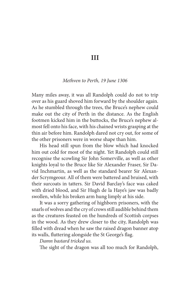**III**

#### *Methven to Perth, 19 June 1306*

Many miles away, it was all Randolph could do not to trip over as his guard shoved him forward by the shoulder again. As he stumbled through the trees, the Bruce's nephew could make out the city of Perth in the distance. As the English footmen kicked him in the buttocks, the Bruce's nephew almost fell onto his face, with his chained wrists grasping at the thin air before him. Randolph dared not cry out, for some of the other prisoners were in worse shape than him.

His head still spun from the blow which had knocked him out cold for most of the night. Yet Randolph could still recognise the scowling Sir John Somerville, as well as other knights loyal to the Bruce like Sir Alexander Fraser, Sir David Inchmartin, as well as the standard bearer Sir Alexander Scrymgeour. All of them were battered and bruised, with their surcoats in tatters. Sir David Barclay's face was caked with dried blood, and Sir Hugh de la Haye's jaw was badly swollen, while his broken arm hung limply at his side.

It was a sorry gathering of highborn prisoners, with the snarls of wolves and the cry of crows still audible behind them as the creatures feasted on the hundreds of Scottish corpses in the wood. As they drew closer to the city, Randolph was filled with dread when he saw the raised dragon banner atop its walls, fluttering alongside the St George's flag.

#### *Damn bastard tricked us.*

The sight of the dragon was all too much for Randolph,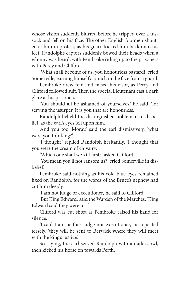whose vision suddenly blurred before he tripped over a tussock and fell on his face. The other English footmen shouted at him in protest, as his guard kicked him back onto his feet. Randolph's captors suddenly bowed their heads when a whinny was heard, with Pembroke riding up to the prisoners with Percy and Clifford.

'What shall become of us, you honourless bastard!' cried Somerville, earning himself a punch in the face from a guard.

Pembroke drew rein and raised his visor, as Percy and Clifford followed suit. Then the special Lieutenant cast a dark glare at his prisoners.

'You should all be ashamed of yourselves,' he said, 'for serving the usurper. It is you that are honourless.'

Randolph beheld the distinguished nobleman in disbelief, as the earl's eyes fell upon him.

'And you too, Moray,' said the earl dismissively, 'what were you thinking?'

'I thought,' replied Randolph hesitantly, 'I thought that you were the cream of chivalry.'

'Which one shall we kill first?' asked Clifford.

'You mean you'll not ransom us?' cried Somerville in disbelief.

Pembroke said nothing as his cold blue eyes remained fixed on Randolph, for the words of the Bruce's nephew had cut him deeply.

'I am not judge or executioner,' he said to Clifford.

'But King Edward,' said the Warden of the Marches, 'King Edward said they were to -'

Clifford was cut short as Pembroke raised his hand for silence.

'I said I am neither judge nor executioner,' he repeated tersely, 'they will be sent to Berwick where they will meet with the king's justice.'

So saying, the earl served Randolph with a dark scowl, then kicked his horse on towards Perth.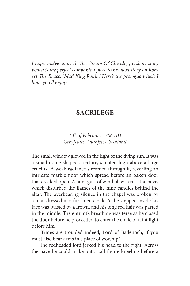*I hope you've enjoyed 'The Cream Of Chivalry', a short story which is the perfect companion piece to my next story on Robert The Bruce, 'Mad King Robin.' Here's the prologue which I hope you'll enjoy:*

## **SACRILEGE**

## *10th of February 1306 AD Greyfriars, Dumfries, Scotland*

The small window glowed in the light of the dying sun. It was a small dome-shaped aperture, situated high above a large crucifix. A weak radiance streamed through it, revealing an intricate marble floor which spread before an oaken door that creaked open. A faint gust of wind blew across the nave, which disturbed the flames of the nine candles behind the altar. The overbearing silence in the chapel was broken by a man dressed in a fur-lined cloak. As he stepped inside his face was twisted by a frown, and his long red hair was parted in the middle. The entrant's breathing was terse as he closed the door before he proceeded to enter the circle of faint light before him.

'Times are troubled indeed, Lord of Badenoch, if you must also bear arms in a place of worship.'

The redheaded lord jerked his head to the right. Across the nave he could make out a tall figure kneeling before a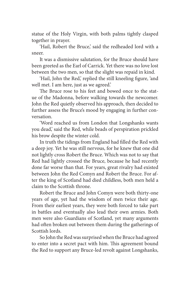statue of the Holy Virgin, with both palms tightly clasped together in prayer.

'Hail, Robert the Bruce,' said the redheaded lord with a sneer.

It was a dismissive salutation, for the Bruce should have been greeted as the Earl of Carrick. Yet there was no love lost between the two men, so that the slight was repaid in kind.

'Hail, John the Red,' replied the still kneeling figure, 'and well met. I am here, just as we agreed.'

The Bruce rose to his feet and bowed once to the statue of the Madonna, before walking towards the newcomer. John the Red quietly observed his approach, then decided to further assess the Bruce's mood by engaging in further conversation.

'Word reached us from London that Longshanks wants you dead,' said the Red, while beads of perspiration prickled his brow despite the winter cold.

In truth the tidings from England had filled the Red with a deep joy. Yet he was still nervous, for he knew that one did not lightly cross Robert the Bruce. Which was not to say that Red had lightly crossed the Bruce, because he had recently done far worse than that. For years, great rivalry had existed between John the Red Comyn and Robert the Bruce. For after the king of Scotland had died childless, both men held a claim to the Scottish throne.

Robert the Bruce and John Comyn were both thirty-one years of age, yet had the wisdom of men twice their age. From their earliest years, they were both forced to take part in battles and eventually also lead their own armies. Both men were also Guardians of Scotland, yet many arguments had often broken out between them during the gatherings of Scottish lords.

So John the Red was surprised when the Bruce had agreed to enter into a secret pact with him. This agreement bound the Red to support any Bruce-led revolt against Longshanks,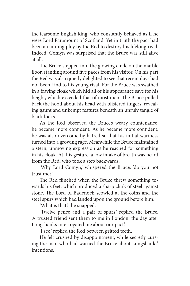the fearsome English king, who constantly behaved as if he were Lord Paramount of Scotland. Yet in truth the pact had been a cunning ploy by the Red to destroy his lifelong rival. Indeed, Comyn was surprised that the Bruce was still alive at all.

The Bruce stepped into the glowing circle on the marble floor, standing around five paces from his visitor. On his part the Red was also quietly delighted to see that recent days had not been kind to his young rival. For the Bruce was swathed in a fraying cloak which hid all of his appearance save for his height, which exceeded that of most men. The Bruce pulled back the hood about his head with blistered fingers, revealing gaunt and unkempt features beneath an unruly tangle of black locks.

As the Red observed the Bruce's weary countenance, he became more confident. As he became more confident, he was also overcome by hatred so that his initial wariness turned into a growing rage. Meanwhile the Bruce maintained a stern, unmoving expression as he reached for something in his cloak. At this gesture, a low intake of breath was heard from the Red, who took a step backwards.

'Why Lord Comyn,' whispered the Bruce, 'do you not trust me?'

The Red flinched when the Bruce threw something towards his feet, which produced a sharp clink of steel against stone. The Lord of Badenoch scowled at the coins and the steel spurs which had landed upon the ground before him.

'What is that?' he snapped.

'Twelve pence and a pair of spurs,' replied the Bruce. 'A trusted friend sent them to me in London, the day after Longshanks interrogated me about our pact.'

'I see,' replied the Red between gritted teeth.

He felt crushed by disappointment, while secretly cursing the man who had warned the Bruce about Longshanks' intentions.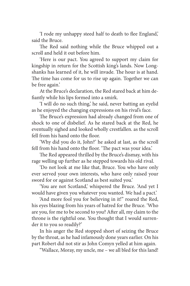'I rode my unhappy steed half to death to flee England,' said the Bruce.

The Red said nothing while the Bruce whipped out a scroll and held it out before him.

'Here is our pact. You agreed to support my claim for kingship in return for the Scottish king's lands. Now Longshanks has learned of it, he will invade. The hour is at hand. The time has come for us to rise up again. Together we can be free again.'

At the Bruce's declaration, the Red stared back at him defiantly while his lips formed into a smirk.

'I will do no such thing,' he said, never batting an eyelid as he enjoyed the changing expressions on his rival's face.

The Bruce's expression had already changed from one of shock to one of disbelief. As he stared back at the Red, he eventually sighed and looked wholly crestfallen. as the scroll fell from his hand onto the floor.

'Why did you do it, John?' he asked at last, as the scroll fell from his hand onto the floor. 'The pact was your idea.'

The Red appeared thrilled by the Bruce's dismay, with his rage welling up further as he stepped towards his old rival.

'Do not look at me like that, Bruce. You who have only ever served your own interests, who have only raised your sword for or against Scotland as best suited you.'

'You are not Scotland,' whispered the Bruce. 'And yet I would have given you whatever you wanted. We had a pact.'

'And more fool you for believing in it!" roared the Red, his eyes blazing from his years of hatred for the Bruce. 'Who are you, for me to be second to you? After all, my claim to the throne is the rightful one. You thought that I would surrender it to you so readily?'

In his anger the Red stopped short of seizing the Bruce by the throat, as he had infamously done years earlier. On his part Robert did not stir as John Comyn yelled at him again.

"Wallace, Moray, my uncle, me – we all bled for this land!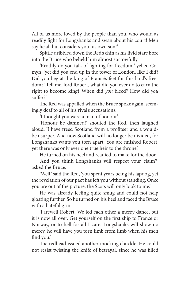All of us more loved by the people than you, who would as readily fight for Longshanks and swan about his court! Men say he all but considers you his own son!'

Spittle dribbled down the Red's chin as his livid stare bore into the Bruce who beheld him almost sorrowfully.

'Readily do you talk of fighting for freedom!' yelled Comyn, 'yet did you end up in the tower of London, like I did? Did you beg at the king of France's feet for this land's freedom?' Tell me, lord Robert, what did you ever do to earn the right to become king? When did *you* bleed? How did *you* suffer?'

The Red was appalled when the Bruce spoke again, seemingly deaf to all of his rival's accusations.

'I thought you were a man of honour.'

'Honour be damned!' shouted the Red, then laughed aloud, 'I have freed Scotland from a profiteer and a wouldbe usurper. And now Scotland will no longer be divided, for Longshanks wants you torn apart. You are finished Robert, yet there was only ever one true heir to the throne.'

He turned on his heel and readied to make for the door.

'And you think Longshanks will respect your claim?' asked the Bruce.

'Well,' said the Red, 'you spent years being his lapdog, yet the revelation of our pact has left you without standing. Once you are out of the picture, the Scots will only look to me.'

He was already feeling quite smug and could not help gloating further. So he turned on his heel and faced the Bruce with a hateful grin.

'Farewell Robert. We led each other a merry dance, but it is now all over. Get yourself on the first ship to France or Norway, or to hell for all I care. Longshanks will show no mercy, he will have you torn limb from limb when his men find you.'

The redhead issued another mocking chuckle. He could not resist twisting the knife of betrayal, since he was filled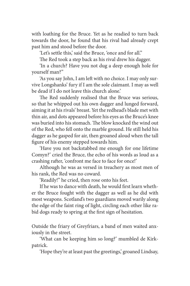with loathing for the Bruce. Yet as he readied to turn back towards the door, he found that his rival had already crept past him and stood before the door.

'Let's settle this,' said the Bruce, 'once and for all."

The Red took a step back as his rival drew his dagger.

'In a church? Have you not dug a deep enough hole for yourself man?"

'As you say John, I am left with no choice. I may only survive Longshanks' fury if I am the sole claimant. I may as well be dead if I do not leave this church alone.'

The Red suddenly realised that the Bruce was serious, so that he whipped out his own dagger and lunged forward, aiming it at his rivals' breast. Yet the redhead's blade met with thin air, and dots appeared before his eyes as the Bruce's knee was buried into his stomach. The blow knocked the wind out of the Red, who fell onto the marble ground. He still held his dagger as he gasped for air, then groaned aloud when the tall figure of his enemy stepped towards him.

'Have you not backstabbed me enough for one lifetime Comyn?' cried the Bruce, the echo of his words as loud as a crashing rafter, 'confront me face to face for once!'

Although he was as versed in treachery as most men of his rank, the Red was no coward.

'Readily!" he cried, then rose onto his feet.

If he was to dance with death, he would first learn whether the Bruce fought with the dagger as well as he did with most weapons. Scotland's two guardians moved warily along the edge of the faint ring of light, circling each other like rabid dogs ready to spring at the first sign of hesitation.

Outside the friary of Greyfriars, a band of men waited anxiously in the street.

'What can be keeping him so long?' mumbled de Kirkpatrick.

'Hope they're at least past the greetings,' groaned Lindsay,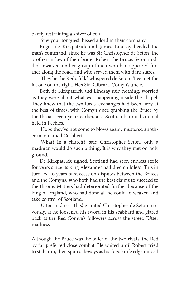barely restraining a shiver of cold.

'Stay your tongues!' hissed a lord in their company.

Roger de Kirkpatrick and James Lindsay heeded the man's command, since he was Sir Christopher de Seton, the brother-in-law of their leader Robert the Bruce. Seton nodded towards another group of men who had appeared further along the road, and who served them with dark stares.

'They be the Red's folk,' whispered de Seton, 'I've met the fat one on the right. He's Sir Raibeart, Comyn's uncle.'

Both de Kirkpatrick and Lindsay said nothing, worried as they were about what was happening inside the chapel. They knew that the two lords' exchanges had been fiery at the best of times, with Comyn once grabbing the Bruce by the throat seven years earlier, at a Scottish baronial council held in Peebles.

'Hope they've not come to blows again,' muttered another man named Cuthbert.

'What? In a church?' said Christopher Seton, 'only a madman would do such a thing. It is why they met on holy ground.'

De Kirkpatrick sighed. Scotland had seen endless strife for years since its king Alexander had died childless. This in turn led to years of succession disputes between the Bruces and the Comyns, who both had the best claims to succeed to the throne. Matters had deteriorated further because of the king of England, who had done all he could to weaken and take control of Scotland.

'Utter madness, this,' grunted Christopher de Seton nervously, as he loosened his sword in his scabbard and glared back at the Red Comyn's followers across the street. 'Utter madness.'

Although the Bruce was the taller of the two rivals, the Red by far preferred close combat. He waited until Robert tried to stab him, then spun sideways as his foe's knife edge missed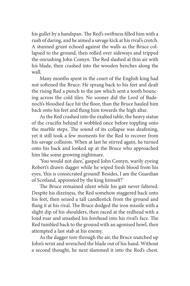his gullet by a handspan. The Red's swiftness filled him with a rush of daring, and he aimed a savage kick at his rival's crotch. A stunned grunt echoed against the walls as the Bruce collapsed to the ground, then rolled over sideways and tripped the onrushing John Comyn. The Red slashed at thin air with his blade, then crashed into the wooden benches along the wall.

Many months spent in the court of the English king had not softened the Bruce. He sprang back to his feet and dealt the rising Red a punch to the jaw which sent a tooth bouncing across the cold tiles. No sooner did the Lord of Badenoch's bloodied face hit the floor, than the Bruce hauled him back onto his feet and flung him towards the high altar.

As the Red crashed into the exalted table, the heavy statue of the crucifix behind it wobbled once before toppling onto the marble steps. The sound of its collapse was deafening, yet it still took a few moments for the Red to recover from his savage collision. When at last he stirred again, he turned onto his back and looked up at the Bruce who approached him like some growing nightmare.

'You would not dare,' gasped John Comyn, warily eyeing Robert's drawn dagger while he wiped fresh blood from his eyes, 'this is consecrated ground! Besides, I am the Guardian of Scotland, appointed by the king himself!'

The Bruce remained silent while his gait never faltered. Despite his dizziness, the Red somehow staggered back onto his feet, then seized a tall candlestick from the ground and flung it at his rival. The Bruce dodged the iron missile with a slight dip of his shoulders, then raced at the redhead with a loud roar and smashed his forehead into his rival's face. The Red tumbled back to the ground with an agonised howl, then attempted a last stab at his enemy.

As the dagger tore through the air, the Bruce snatched up John's wrist and wrenched the blade out of his hand. Without a second thought, he next slammed it into the Red's chest.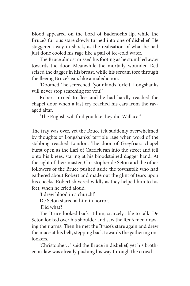Blood appeared on the Lord of Badenoch's lip, while the Bruce's furious stare slowly turned into one of disbelief. He staggered away in shock, as the realisation of what he had just done cooled his rage like a pail of ice-cold water.

The Bruce almost missed his footing as he stumbled away towards the door. Meanwhile the mortally wounded Red seized the dagger in his breast, while his scream tore through the fleeing Bruce's ears like a malediction.

'Doomed!' he screeched, 'your lands forfeit! Longshanks will never stop searching for you!'

Robert turned to flee, and he had hardly reached the chapel door when a last cry reached his ears from the ravaged altar.

'The English will find you like they did Wallace!'

The fray was over, yet the Bruce felt suddenly overwhelmed by thoughts of Longshanks' terrible rage when word of the stabbing reached London. The door of Greyfriars chapel burst open as the Earl of Carrick ran into the street and fell onto his knees, staring at his bloodstained dagger hand. At the sight of their master, Christopher de Seton and the other followers of the Bruce pushed aside the townsfolk who had gathered about Robert and made out the glint of tears upon his cheeks. Robert shivered wildly as they helped him to his feet, when he cried aloud.

'I drew blood in a church!'

De Seton stared at him in horror.

'Did what?'

The Bruce looked back at him, scarcely able to talk. De Seton looked over his shoulder and saw the Red's men drawing their arms. Then he met the Bruce's stare again and drew the mace at his belt, stepping back towards the gathering onlookers.

'Christopher…' said the Bruce in disbelief, yet his brother-in-law was already pushing his way through the crowd.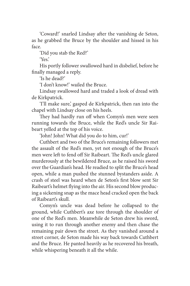'Coward!' snarled Lindsay after the vanishing de Seton, as he grabbed the Bruce by the shoulder and hissed in his face.

'Did you stab the Red?'

'Yes.'

His portly follower swallowed hard in disbelief, before he finally managed a reply.

'Is he dead?'

'I don't know!' wailed the Bruce.

Lindsay swallowed hard and traded a look of dread with de Kirkpatrick.

'I'll make sure,' gasped de Kirkpatrick, then ran into the chapel with Lindsay close on his heels.

They had hardly run off when Comyn's men were seen running towards the Bruce, while the Red's uncle Sir Raibeart yelled at the top of his voice.

'John! John! What did you do to him, cur!'

Cuthbert and two of the Bruce's remaining followers met the assault of the Red's men, yet not enough of the Bruce's men were left to fend off Sir Raibeart. The Red's uncle glared murderously at the bewildered Bruce, as he raised his sword over the Guardian's head. He readied to split the Bruce's head open, while a man pushed the stunned bystanders aside. A crash of steel was heard when de Seton's first blow sent Sir Raibeart's helmet flying into the air. His second blow producing a sickening snap as the mace head cracked open the back of Raibeart's skull.

Comyn's uncle was dead before he collapsed to the ground, while Cuthbert's axe tore through the shoulder of one of the Red's men. Meanwhile de Seton drew his sword, using it to run through another enemy and then chase the remaining pair down the street. As they vanished around a street corner, de Seton made his way back towards Cuthbert and the Bruce. He panted heavily as he recovered his breath, while whispering beneath it all the while.